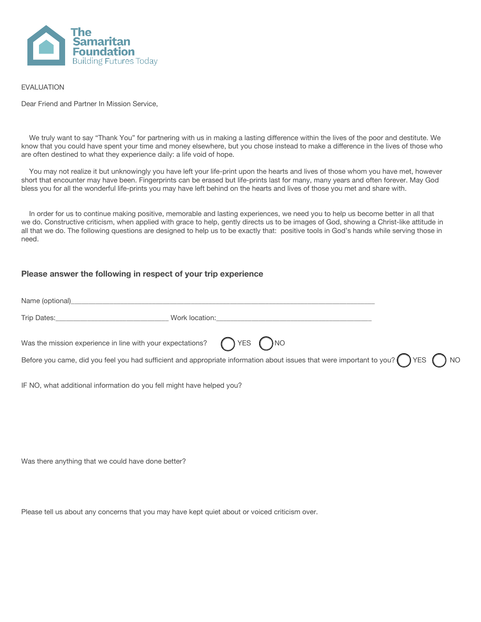

## EVALUATION

Dear Friend and Partner In Mission Service,

 We truly want to say "Thank You" for partnering with us in making a lasting difference within the lives of the poor and destitute. We know that you could have spent your time and money elsewhere, but you chose instead to make a difference in the lives of those who are often destined to what they experience daily: a life void of hope.

 You may not realize it but unknowingly you have left your life-print upon the hearts and lives of those whom you have met, however short that encounter may have been. Fingerprints can be erased but life-prints last for many, many years and often forever. May God bless you for all the wonderful life-prints you may have left behind on the hearts and lives of those you met and share with.

 In order for us to continue making positive, memorable and lasting experiences, we need you to help us become better in all that we do. Constructive criticism, when applied with grace to help, gently directs us to be images of God, showing a Christ-like attitude in all that we do. The following questions are designed to help us to be exactly that: positive tools in God's hands while serving those in need.

## **Please answer the following in respect of your trip experience**

| Was the mission experience in line with your expectations? $\bigcap$ YES $\bigcap$ NO |                                                                                                                                                  |  |
|---------------------------------------------------------------------------------------|--------------------------------------------------------------------------------------------------------------------------------------------------|--|
|                                                                                       | Before you came, did you feel you had sufficient and appropriate information about issues that were important to you? $\bigcap$ YES $\bigcap$ NO |  |
|                                                                                       |                                                                                                                                                  |  |
| IF NO, what additional information do you fell might have helped you?                 |                                                                                                                                                  |  |
|                                                                                       |                                                                                                                                                  |  |

Was there anything that we could have done better?

Please tell us about any concerns that you may have kept quiet about or voiced criticism over.